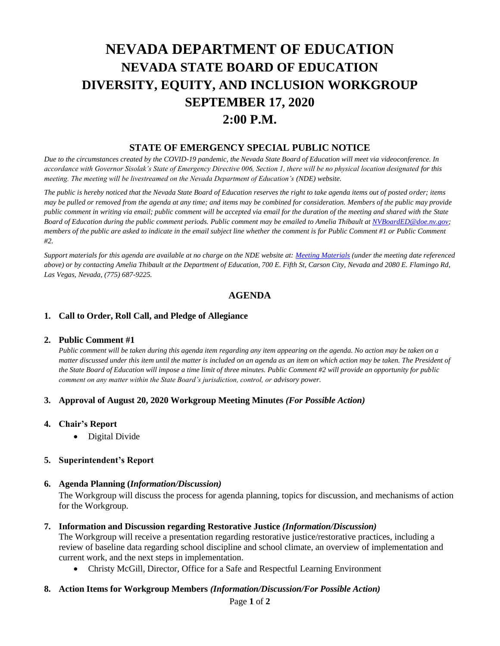# **NEVADA DEPARTMENT OF EDUCATION NEVADA STATE BOARD OF EDUCATION DIVERSITY, EQUITY, AND INCLUSION WORKGROUP SEPTEMBER 17, 2020 2:00 P.M.**

# **STATE OF EMERGENCY SPECIAL PUBLIC NOTICE**

*Due to the circumstances created by the COVID-19 pandemic, the Nevada State Board of Education will meet via videoconference. In accordance with Governor Sisolak's State of Emergency Directive 006, Section 1, there will be no physical location designated for this meeting. The meeting will be livestreamed on the Nevada Department of Education's (NDE) website.* 

*The public is hereby noticed that the Nevada State Board of Education reserves the right to take agenda items out of posted order; items may be pulled or removed from the agenda at any time; and items may be combined for consideration. Members of the public may provide public comment in writing via email; public comment will be accepted via email for the duration of the meeting and shared with the State Board of Education during the public comment periods. Public comment may be emailed to Amelia Thibault at [NVBoardED@doe.nv.gov;](mailto:NVBoardED@doe.nv.gov) members of the public are asked to indicate in the email subject line whether the comment is for Public Comment #1 or Public Comment #2.* 

*Support materials for this agenda are available at no charge on the NDE website at[: Meeting Materials](http://www.doe.nv.gov/Boards_Commissions_Councils/State_Board_of_Education/Meeting_Materials/) (under the meeting date referenced above) or by contacting Amelia Thibault at the Department of Education, 700 E. Fifth St, Carson City, Nevada and 2080 E. Flamingo Rd, Las Vegas, Nevada, (775) 687-9225.*

## **AGENDA**

#### **1. Call to Order, Roll Call, and Pledge of Allegiance**

#### **2. Public Comment #1**

*Public comment will be taken during this agenda item regarding any item appearing on the agenda. No action may be taken on a matter discussed under this item until the matter is included on an agenda as an item on which action may be taken. The President of the State Board of Education will impose a time limit of three minutes. Public Comment #2 will provide an opportunity for public comment on any matter within the State Board's jurisdiction, control, or advisory power.*

#### **3. Approval of August 20, 2020 Workgroup Meeting Minutes** *(For Possible Action)*

- **4. Chair's Report** 
	- Digital Divide

## **5. Superintendent's Report**

#### **6. Agenda Planning (***Information/Discussion)*

The Workgroup will discuss the process for agenda planning, topics for discussion, and mechanisms of action for the Workgroup.

#### **7. Information and Discussion regarding Restorative Justice** *(Information/Discussion)*

The Workgroup will receive a presentation regarding restorative justice/restorative practices, including a review of baseline data regarding school discipline and school climate, an overview of implementation and current work, and the next steps in implementation.

• Christy McGill, Director, Office for a Safe and Respectful Learning Environment

#### **8. Action Items for Workgroup Members** *(Information/Discussion/For Possible Action)*

Page **1** of **2**